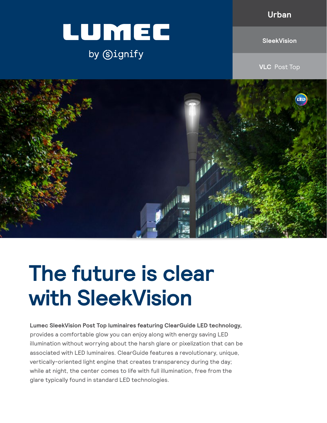**Urban**



by Signify

**SleekVision**

**VLC** Post Top



# **The future is clear with SleekVision**

**Lumec SleekVision Post Top luminaires featuring ClearGuide LED technology,**  provides a comfortable glow you can enjoy along with energy saving LED illumination without worrying about the harsh glare or pixelization that can be associated with LED luminaires. ClearGuide features a revolutionary, unique, vertically-oriented light engine that creates transparency during the day; while at night, the center comes to life with full illumination, free from the glare typically found in standard LED technologies.